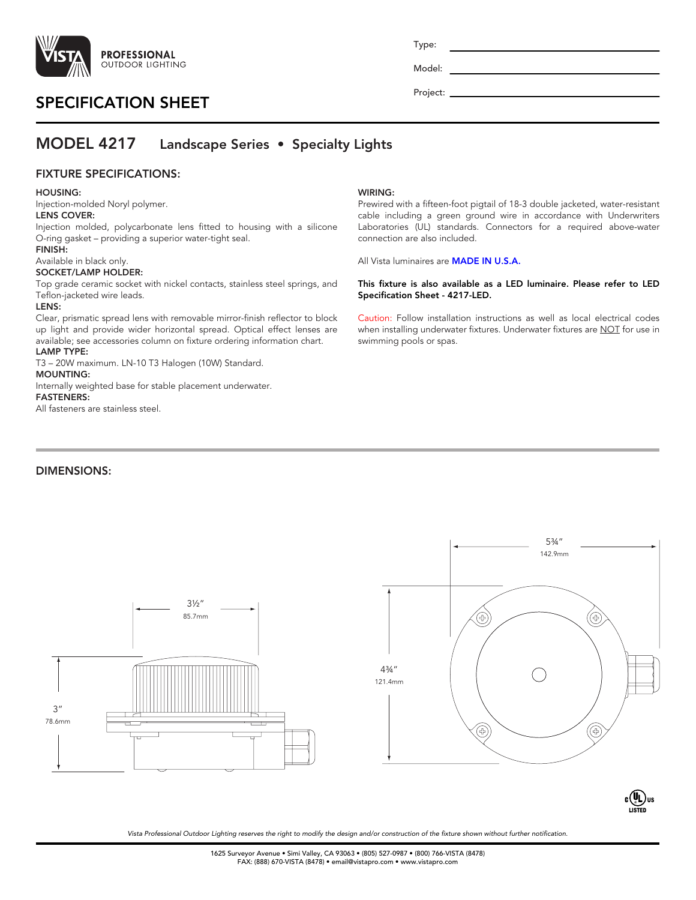

# SPECIFICATION SHEET

Type:

Model:

Project: \_

connection are also included.

Specification Sheet - 4217-LED.

swimming pools or spas.

All Vista luminaires are **MADE IN U.S.A.** 

WIRING:

# MODEL 4217 Landscape Series • Specialty Lights

## FIXTURE SPECIFICATIONS:

### HOUSING:

Injection-molded Noryl polymer. LENS COVER:

Injection molded, polycarbonate lens fitted to housing with a silicone O-ring gasket – providing a superior water-tight seal.

# FINISH:

### Available in black only. SOCKET/LAMP HOLDER:

Top grade ceramic socket with nickel contacts, stainless steel springs, and Teflon-jacketed wire leads.

### LENS:

Clear, prismatic spread lens with removable mirror-finish reflector to block up light and provide wider horizontal spread. Optical effect lenses are available; see accessories column on fixture ordering information chart.

## LAMP TYPE:

T3 – 20W maximum. LN-10 T3 Halogen (10W) Standard. MOUNTING:

Internally weighted base for stable placement underwater. FASTENERS:

All fasteners are stainless steel.

## DIMENSIONS:





Prewired with a fifteen-foot pigtail of 18-3 double jacketed, water-resistant cable including a green ground wire in accordance with Underwriters Laboratories (UL) standards. Connectors for a required above-water

This fixture is also available as a LED luminaire. Please refer to LED

Caution: Follow installation instructions as well as local electrical codes when installing underwater fixtures. Underwater fixtures are NOT for use in

> C  $\zeta$  s UL LISTED US

*Vista Professional Outdoor Lighting reserves the right to modify the design and/or construction of the fixture shown without further notification.*